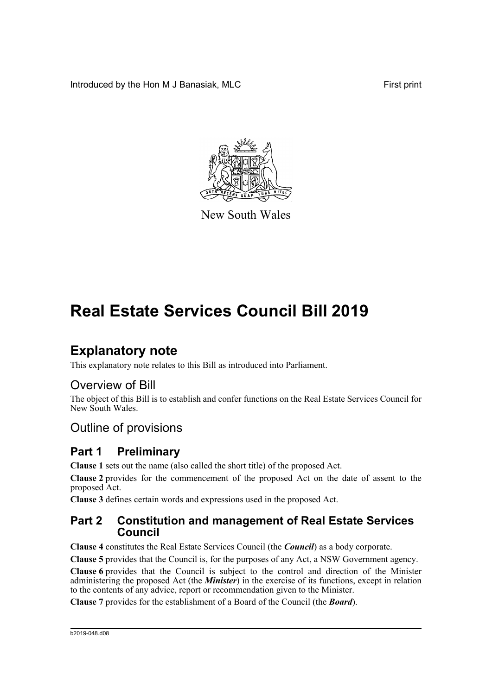Introduced by the Hon M J Banasiak, MLC **First print** First print



New South Wales

# **Real Estate Services Council Bill 2019**

# **Explanatory note**

This explanatory note relates to this Bill as introduced into Parliament.

## Overview of Bill

The object of this Bill is to establish and confer functions on the Real Estate Services Council for New South Wales.

# Outline of provisions

## **Part 1 Preliminary**

**Clause 1** sets out the name (also called the short title) of the proposed Act.

**Clause 2** provides for the commencement of the proposed Act on the date of assent to the proposed Act.

**Clause 3** defines certain words and expressions used in the proposed Act.

## **Part 2 Constitution and management of Real Estate Services Council**

**Clause 4** constitutes the Real Estate Services Council (the *Council*) as a body corporate.

**Clause 5** provides that the Council is, for the purposes of any Act, a NSW Government agency.

**Clause 6** provides that the Council is subject to the control and direction of the Minister administering the proposed Act (the *Minister*) in the exercise of its functions, except in relation to the contents of any advice, report or recommendation given to the Minister.

**Clause 7** provides for the establishment of a Board of the Council (the *Board*).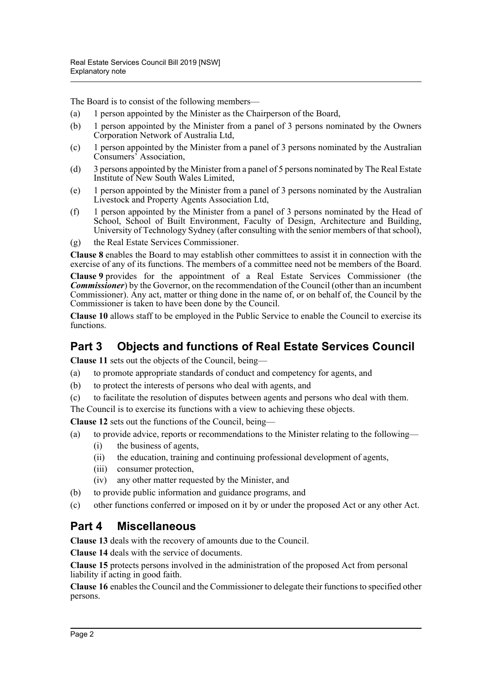The Board is to consist of the following members—

- (a) 1 person appointed by the Minister as the Chairperson of the Board,
- (b) 1 person appointed by the Minister from a panel of 3 persons nominated by the Owners Corporation Network of Australia Ltd,
- (c) 1 person appointed by the Minister from a panel of 3 persons nominated by the Australian Consumers' Association,
- (d) 3 persons appointed by the Minister from a panel of 5 persons nominated by The Real Estate Institute of New South Wales Limited,
- (e) 1 person appointed by the Minister from a panel of 3 persons nominated by the Australian Livestock and Property Agents Association Ltd,
- (f) 1 person appointed by the Minister from a panel of 3 persons nominated by the Head of School, School of Built Environment, Faculty of Design, Architecture and Building, University of Technology Sydney (after consulting with the senior members of that school),
- (g) the Real Estate Services Commissioner.

**Clause 8** enables the Board to may establish other committees to assist it in connection with the exercise of any of its functions. The members of a committee need not be members of the Board.

**Clause 9** provides for the appointment of a Real Estate Services Commissioner (the *Commissioner*) by the Governor, on the recommendation of the Council (other than an incumbent Commissioner). Any act, matter or thing done in the name of, or on behalf of, the Council by the Commissioner is taken to have been done by the Council.

**Clause 10** allows staff to be employed in the Public Service to enable the Council to exercise its functions.

# **Part 3 Objects and functions of Real Estate Services Council**

**Clause 11** sets out the objects of the Council, being—

- (a) to promote appropriate standards of conduct and competency for agents, and
- (b) to protect the interests of persons who deal with agents, and
- (c) to facilitate the resolution of disputes between agents and persons who deal with them.

The Council is to exercise its functions with a view to achieving these objects.

**Clause 12** sets out the functions of the Council, being—

- (a) to provide advice, reports or recommendations to the Minister relating to the following—
	- (i) the business of agents,
	- (ii) the education, training and continuing professional development of agents,
	- (iii) consumer protection,
	- (iv) any other matter requested by the Minister, and
- (b) to provide public information and guidance programs, and
- (c) other functions conferred or imposed on it by or under the proposed Act or any other Act.

## **Part 4 Miscellaneous**

**Clause 13** deals with the recovery of amounts due to the Council.

**Clause 14** deals with the service of documents.

**Clause 15** protects persons involved in the administration of the proposed Act from personal liability if acting in good faith.

**Clause 16** enables the Council and the Commissioner to delegate their functions to specified other persons.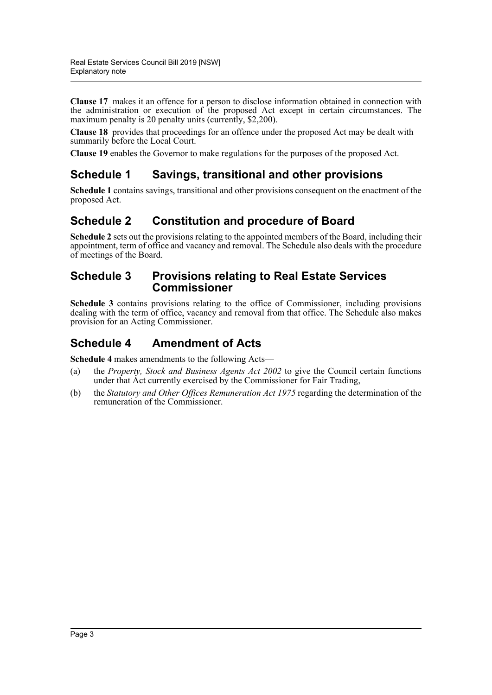**Clause 17** makes it an offence for a person to disclose information obtained in connection with the administration or execution of the proposed Act except in certain circumstances. The maximum penalty is 20 penalty units (currently, \$2,200).

**Clause 18** provides that proceedings for an offence under the proposed Act may be dealt with summarily before the Local Court.

**Clause 19** enables the Governor to make regulations for the purposes of the proposed Act.

## **Schedule 1 Savings, transitional and other provisions**

**Schedule 1** contains savings, transitional and other provisions consequent on the enactment of the proposed Act.

## **Schedule 2 Constitution and procedure of Board**

**Schedule 2** sets out the provisions relating to the appointed members of the Board, including their appointment, term of office and vacancy and removal. The Schedule also deals with the procedure of meetings of the Board.

### **Schedule 3 Provisions relating to Real Estate Services Commissioner**

**Schedule 3** contains provisions relating to the office of Commissioner, including provisions dealing with the term of office, vacancy and removal from that office. The Schedule also makes provision for an Acting Commissioner.

## **Schedule 4 Amendment of Acts**

**Schedule 4** makes amendments to the following Acts—

- (a) the *Property, Stock and Business Agents Act 2002* to give the Council certain functions under that Act currently exercised by the Commissioner for Fair Trading,
- (b) the *Statutory and Other Offices Remuneration Act 1975* regarding the determination of the remuneration of the Commissioner.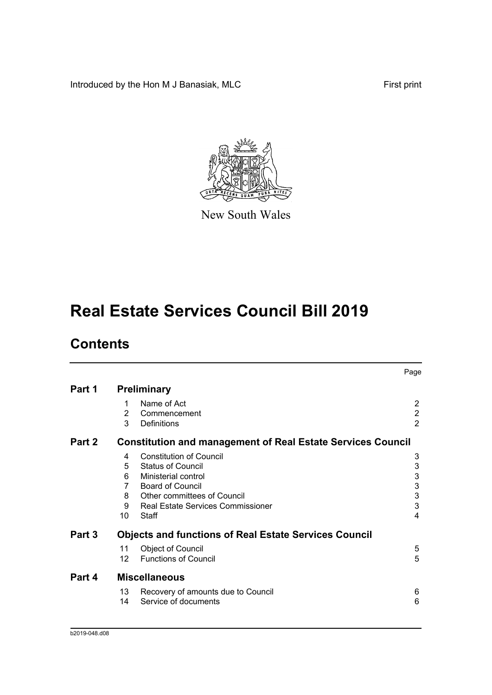Introduced by the Hon M J Banasiak, MLC First print



New South Wales

# **Real Estate Services Council Bill 2019**

# **Contents**

|        |                   |                                                                    | Page                      |
|--------|-------------------|--------------------------------------------------------------------|---------------------------|
| Part 1 |                   | <b>Preliminary</b>                                                 |                           |
|        | 1                 | Name of Act                                                        | 2                         |
|        | 2                 | Commencement                                                       | $\overline{2}$            |
|        | 3                 | Definitions                                                        | $\overline{2}$            |
| Part 2 |                   | <b>Constitution and management of Real Estate Services Council</b> |                           |
|        | 4                 | <b>Constitution of Council</b>                                     | 3                         |
|        | 5                 | <b>Status of Council</b>                                           | 3                         |
|        | 6                 | Ministerial control                                                | $\ensuremath{\mathsf{3}}$ |
|        | 7                 | <b>Board of Council</b>                                            | $\ensuremath{\mathsf{3}}$ |
|        | 8                 | Other committees of Council                                        | $\mathsf 3$               |
|        | 9                 | <b>Real Estate Services Commissioner</b>                           | 3                         |
|        | 10 <sup>1</sup>   | Staff                                                              | $\overline{4}$            |
| Part 3 |                   | <b>Objects and functions of Real Estate Services Council</b>       |                           |
|        | 11                | <b>Object of Council</b>                                           | 5                         |
|        | $12 \overline{ }$ | <b>Functions of Council</b>                                        | 5                         |
| Part 4 |                   | <b>Miscellaneous</b>                                               |                           |
|        | 13                | Recovery of amounts due to Council                                 | 6                         |
|        | 14                | Service of documents                                               | 6                         |
|        |                   |                                                                    |                           |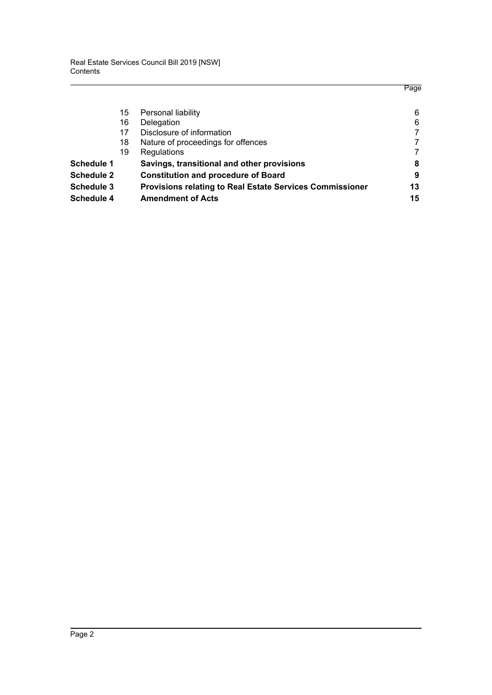|                   |    |                                                                 | Page |
|-------------------|----|-----------------------------------------------------------------|------|
|                   | 15 | Personal liability                                              | 6    |
|                   | 16 | Delegation                                                      | 6    |
|                   | 17 | Disclosure of information                                       |      |
|                   | 18 | Nature of proceedings for offences                              |      |
|                   | 19 | Regulations                                                     |      |
| <b>Schedule 1</b> |    | Savings, transitional and other provisions                      | 8    |
| <b>Schedule 2</b> |    | <b>Constitution and procedure of Board</b>                      | 9    |
| <b>Schedule 3</b> |    | <b>Provisions relating to Real Estate Services Commissioner</b> | 13   |
| Schedule 4        |    | <b>Amendment of Acts</b>                                        | 15   |
|                   |    |                                                                 |      |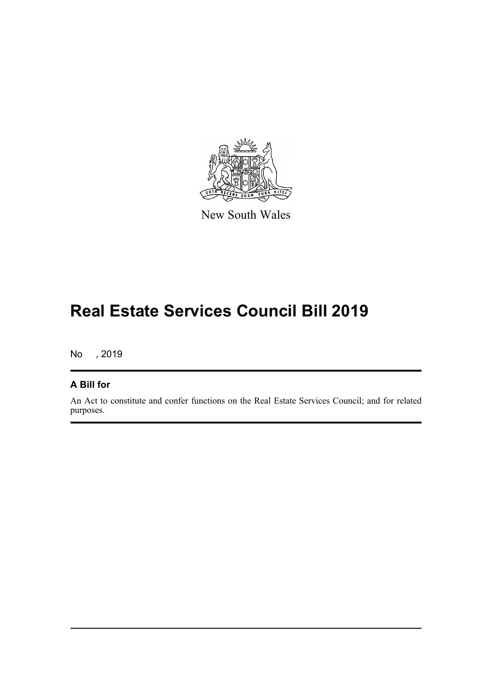

New South Wales

# **Real Estate Services Council Bill 2019**

No , 2019

### **A Bill for**

An Act to constitute and confer functions on the Real Estate Services Council; and for related purposes.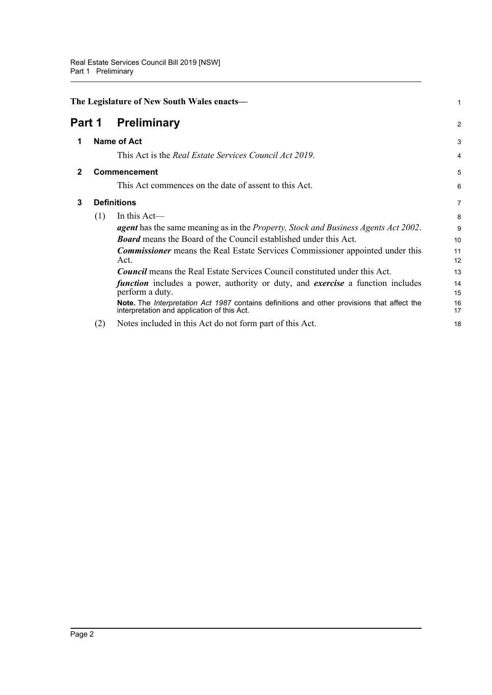<span id="page-6-3"></span><span id="page-6-2"></span><span id="page-6-1"></span><span id="page-6-0"></span>

|                              | The Legislature of New South Wales enacts- |                                                                                                                                            |          |
|------------------------------|--------------------------------------------|--------------------------------------------------------------------------------------------------------------------------------------------|----------|
| <b>Preliminary</b><br>Part 1 |                                            | $\overline{2}$                                                                                                                             |          |
|                              |                                            | <b>Name of Act</b>                                                                                                                         | 3        |
|                              |                                            | This Act is the Real Estate Services Council Act 2019.                                                                                     | 4        |
| $\mathbf{2}$                 |                                            | <b>Commencement</b>                                                                                                                        | 5        |
|                              |                                            | This Act commences on the date of assent to this Act.                                                                                      | 6        |
| 3                            |                                            | <b>Definitions</b>                                                                                                                         | 7        |
|                              | (1)                                        | In this $Act$ —                                                                                                                            | 8        |
|                              |                                            | <b>agent</b> has the same meaning as in the <i>Property</i> , <i>Stock and Business Agents Act 2002</i> .                                  | 9        |
|                              |                                            | <b>Board</b> means the Board of the Council established under this Act.                                                                    | 10       |
|                              |                                            | <b>Commissioner</b> means the Real Estate Services Commissioner appointed under this<br>Act.                                               | 11<br>12 |
|                              |                                            | <b>Council</b> means the Real Estate Services Council constituted under this Act.                                                          | 13       |
|                              |                                            | <i>function</i> includes a power, authority or duty, and <i>exercise</i> a function includes<br>perform a duty.                            | 14<br>15 |
|                              |                                            | Note. The Interpretation Act 1987 contains definitions and other provisions that affect the<br>interpretation and application of this Act. | 16<br>17 |
|                              | (2)                                        | Notes included in this Act do not form part of this Act.                                                                                   | 18       |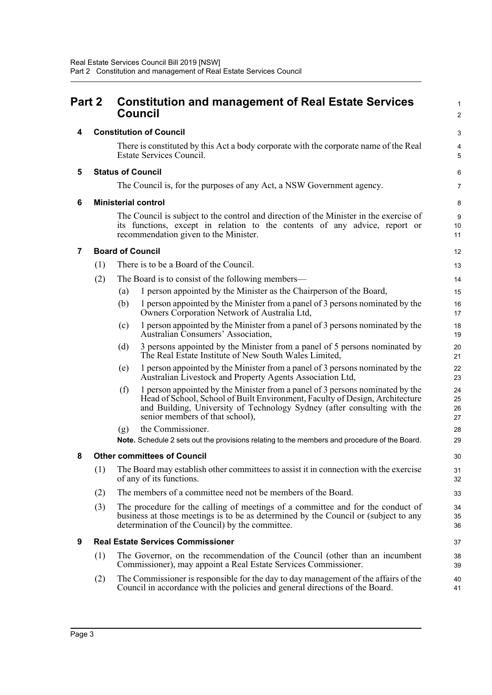<span id="page-7-6"></span><span id="page-7-5"></span><span id="page-7-4"></span><span id="page-7-3"></span><span id="page-7-2"></span><span id="page-7-1"></span><span id="page-7-0"></span>

| Part 2 |     | <b>Constitution and management of Real Estate Services</b><br><b>Council</b>                                                                                                                                                                                                        |                      |  |
|--------|-----|-------------------------------------------------------------------------------------------------------------------------------------------------------------------------------------------------------------------------------------------------------------------------------------|----------------------|--|
| 4      |     | <b>Constitution of Council</b>                                                                                                                                                                                                                                                      | З                    |  |
|        |     | There is constituted by this Act a body corporate with the corporate name of the Real<br>Estate Services Council.                                                                                                                                                                   | 4<br>ć               |  |
| 5      |     | <b>Status of Council</b>                                                                                                                                                                                                                                                            | Е                    |  |
|        |     | The Council is, for the purposes of any Act, a NSW Government agency.                                                                                                                                                                                                               | 7                    |  |
| 6      |     | <b>Ministerial control</b>                                                                                                                                                                                                                                                          | ε                    |  |
|        |     | The Council is subject to the control and direction of the Minister in the exercise of<br>its functions, except in relation to the contents of any advice, report or<br>recommendation given to the Minister.                                                                       | ς<br>10<br>11        |  |
| 7      |     | <b>Board of Council</b>                                                                                                                                                                                                                                                             | 12                   |  |
|        | (1) | There is to be a Board of the Council.                                                                                                                                                                                                                                              | 13                   |  |
|        | (2) | The Board is to consist of the following members—                                                                                                                                                                                                                                   | 14                   |  |
|        |     | 1 person appointed by the Minister as the Chairperson of the Board,<br>(a)                                                                                                                                                                                                          | 15                   |  |
|        |     | (b)<br>1 person appointed by the Minister from a panel of 3 persons nominated by the<br>Owners Corporation Network of Australia Ltd,                                                                                                                                                | 16<br>17             |  |
|        |     | 1 person appointed by the Minister from a panel of 3 persons nominated by the<br>(c)<br>Australian Consumers' Association,                                                                                                                                                          | 18<br>1 <sup>c</sup> |  |
|        |     | 3 persons appointed by the Minister from a panel of 5 persons nominated by<br>(d)<br>The Real Estate Institute of New South Wales Limited,                                                                                                                                          | 20<br>21             |  |
|        |     | 1 person appointed by the Minister from a panel of 3 persons nominated by the<br>(e)<br>Australian Livestock and Property Agents Association Ltd,                                                                                                                                   | 22<br>23             |  |
|        |     | 1 person appointed by the Minister from a panel of 3 persons nominated by the<br>(f)<br>Head of School, School of Built Environment, Faculty of Design, Architecture<br>and Building, University of Technology Sydney (after consulting with the<br>senior members of that school), | 24<br>25<br>26<br>27 |  |
|        |     | the Commissioner.<br>(g)                                                                                                                                                                                                                                                            | 28                   |  |
|        |     | Note. Schedule 2 sets out the provisions relating to the members and procedure of the Board.                                                                                                                                                                                        | 29                   |  |
| 8      |     | <b>Other committees of Council</b>                                                                                                                                                                                                                                                  | 30                   |  |
|        | (1) | The Board may establish other committees to assist it in connection with the exercise<br>of any of its functions.                                                                                                                                                                   | 31<br>32             |  |
|        | (2) | The members of a committee need not be members of the Board.                                                                                                                                                                                                                        | 33                   |  |
|        | (3) | The procedure for the calling of meetings of a committee and for the conduct of<br>business at those meetings is to be as determined by the Council or (subject to any<br>determination of the Council) by the committee.                                                           | 34<br>35<br>36       |  |
| 9      |     | <b>Real Estate Services Commissioner</b>                                                                                                                                                                                                                                            | 37                   |  |
|        | (1) | The Governor, on the recommendation of the Council (other than an incumbent<br>Commissioner), may appoint a Real Estate Services Commissioner.                                                                                                                                      | 38<br>39             |  |
|        | (2) | The Commissioner is responsible for the day to day management of the affairs of the<br>Council in accordance with the policies and general directions of the Board.                                                                                                                 | 40<br>41             |  |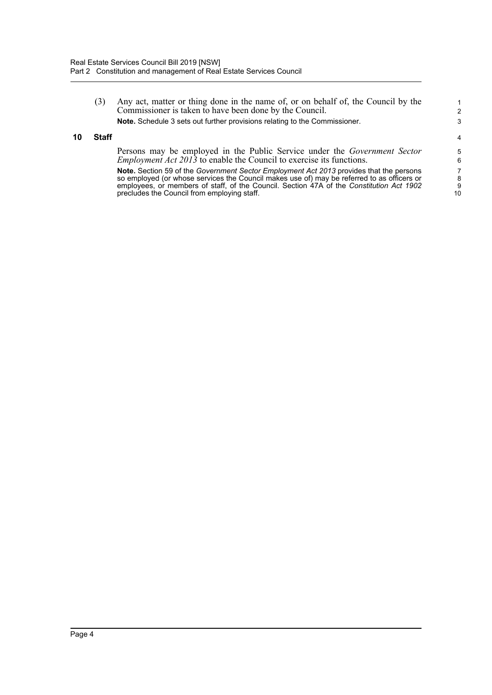(3) Any act, matter or thing done in the name of, or on behalf of, the Council by the Commissioner is taken to have been done by the Council. **Note.** Schedule 3 sets out further provisions relating to the Commissioner.

#### <span id="page-8-0"></span>**10 Staff**

Persons may be employed in the Public Service under the *Government Sector Employment Act 2013* to enable the Council to exercise its functions.

**Note.** Section 59 of the *Government Sector Employment Act 2013* provides that the persons so employed (or whose services the Council makes use of) may be referred to as officers or employees, or members of staff, of the Council. Section 47A of the *Constitution Act 1902* precludes the Council from employing staff.

10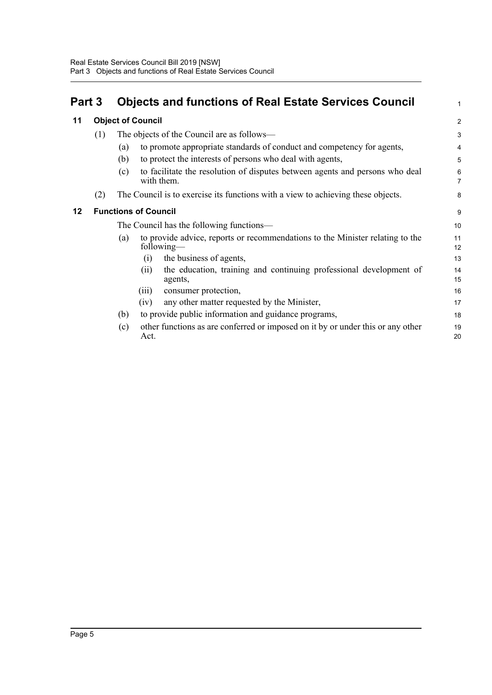<span id="page-9-2"></span><span id="page-9-1"></span><span id="page-9-0"></span>

| Part 3  |     | <b>Objects and functions of Real Estate Services Council</b>                                       | 1                   |  |
|---------|-----|----------------------------------------------------------------------------------------------------|---------------------|--|
| 11      |     | <b>Object of Council</b>                                                                           |                     |  |
|         | (1) | The objects of the Council are as follows—                                                         | 3                   |  |
|         |     | to promote appropriate standards of conduct and competency for agents,<br>(a)                      | 4                   |  |
|         |     | to protect the interests of persons who deal with agents,<br>(b)                                   | 5                   |  |
|         |     | to facilitate the resolution of disputes between agents and persons who deal<br>(c)<br>with them.  | 6<br>$\overline{7}$ |  |
|         | (2) | The Council is to exercise its functions with a view to achieving these objects.                   | 8                   |  |
| $12 \,$ |     | <b>Functions of Council</b>                                                                        | 9                   |  |
|         |     | The Council has the following functions-                                                           | 10                  |  |
|         |     | to provide advice, reports or recommendations to the Minister relating to the<br>(a)<br>following— | 11<br>12            |  |
|         |     | the business of agents,<br>(i)                                                                     | 13                  |  |
|         |     | the education, training and continuing professional development of<br>(i)<br>agents,               | 14<br>15            |  |
|         |     | consumer protection,<br>(iii)                                                                      | 16                  |  |
|         |     | any other matter requested by the Minister,<br>(iv)                                                | 17                  |  |
|         |     | to provide public information and guidance programs,<br>(b)                                        | 18                  |  |
|         |     | other functions as are conferred or imposed on it by or under this or any other<br>(c)<br>Act.     | 19<br>20            |  |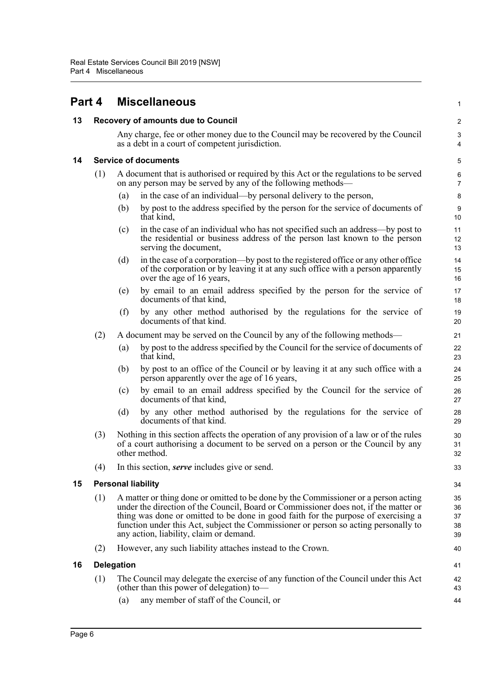<span id="page-10-0"></span>

<span id="page-10-4"></span><span id="page-10-3"></span><span id="page-10-2"></span><span id="page-10-1"></span>

| 13 |     |                   | <b>Recovery of amounts due to Council</b>                                                                                                                                                                                                                                                                                                                                                           | $\overline{\mathbf{c}}$    |
|----|-----|-------------------|-----------------------------------------------------------------------------------------------------------------------------------------------------------------------------------------------------------------------------------------------------------------------------------------------------------------------------------------------------------------------------------------------------|----------------------------|
|    |     |                   | Any charge, fee or other money due to the Council may be recovered by the Council<br>as a debt in a court of competent jurisdiction.                                                                                                                                                                                                                                                                | 3<br>4                     |
| 14 |     |                   | <b>Service of documents</b>                                                                                                                                                                                                                                                                                                                                                                         | 5                          |
|    | (1) |                   | A document that is authorised or required by this Act or the regulations to be served<br>on any person may be served by any of the following methods—                                                                                                                                                                                                                                               | 6<br>7                     |
|    |     | (a)               | in the case of an individual—by personal delivery to the person,                                                                                                                                                                                                                                                                                                                                    | 8                          |
|    |     | (b)               | by post to the address specified by the person for the service of documents of<br>that kind,                                                                                                                                                                                                                                                                                                        | 9<br>10                    |
|    |     | (c)               | in the case of an individual who has not specified such an address—by post to<br>the residential or business address of the person last known to the person<br>serving the document,                                                                                                                                                                                                                | 11<br>12<br>13             |
|    |     | (d)               | in the case of a corporation—by post to the registered office or any other office<br>of the corporation or by leaving it at any such office with a person apparently<br>over the age of 16 years,                                                                                                                                                                                                   | 14<br>15<br>16             |
|    |     | (e)               | by email to an email address specified by the person for the service of<br>documents of that kind,                                                                                                                                                                                                                                                                                                  | 17<br>18                   |
|    |     | (f)               | by any other method authorised by the regulations for the service of<br>documents of that kind.                                                                                                                                                                                                                                                                                                     | 19<br>20                   |
|    | (2) |                   | A document may be served on the Council by any of the following methods—                                                                                                                                                                                                                                                                                                                            | 21                         |
|    |     | (a)               | by post to the address specified by the Council for the service of documents of<br>that kind,                                                                                                                                                                                                                                                                                                       | 22<br>23                   |
|    |     | (b)               | by post to an office of the Council or by leaving it at any such office with a<br>person apparently over the age of 16 years,                                                                                                                                                                                                                                                                       | 24<br>25                   |
|    |     | (c)               | by email to an email address specified by the Council for the service of<br>documents of that kind,                                                                                                                                                                                                                                                                                                 | 26<br>27                   |
|    |     | (d)               | by any other method authorised by the regulations for the service of<br>documents of that kind.                                                                                                                                                                                                                                                                                                     | 28<br>29                   |
|    | (3) |                   | Nothing in this section affects the operation of any provision of a law or of the rules<br>of a court authorising a document to be served on a person or the Council by any<br>other method.                                                                                                                                                                                                        | 30<br>31<br>32             |
|    | (4) |                   | In this section, <i>serve</i> includes give or send.                                                                                                                                                                                                                                                                                                                                                | 33                         |
| 15 |     |                   | <b>Personal liability</b>                                                                                                                                                                                                                                                                                                                                                                           | 34                         |
|    | (1) |                   | A matter or thing done or omitted to be done by the Commissioner or a person acting<br>under the direction of the Council, Board or Commissioner does not, if the matter or<br>thing was done or omitted to be done in good faith for the purpose of exercising a<br>function under this Act, subject the Commissioner or person so acting personally to<br>any action, liability, claim or demand. | 35<br>36<br>37<br>38<br>39 |
|    | (2) |                   | However, any such liability attaches instead to the Crown.                                                                                                                                                                                                                                                                                                                                          | 40                         |
| 16 |     | <b>Delegation</b> |                                                                                                                                                                                                                                                                                                                                                                                                     | 41                         |
|    | (1) | (a)               | The Council may delegate the exercise of any function of the Council under this Act<br>(other than this power of delegation) to-<br>any member of staff of the Council, or                                                                                                                                                                                                                          | 42<br>43<br>44             |
|    |     |                   |                                                                                                                                                                                                                                                                                                                                                                                                     |                            |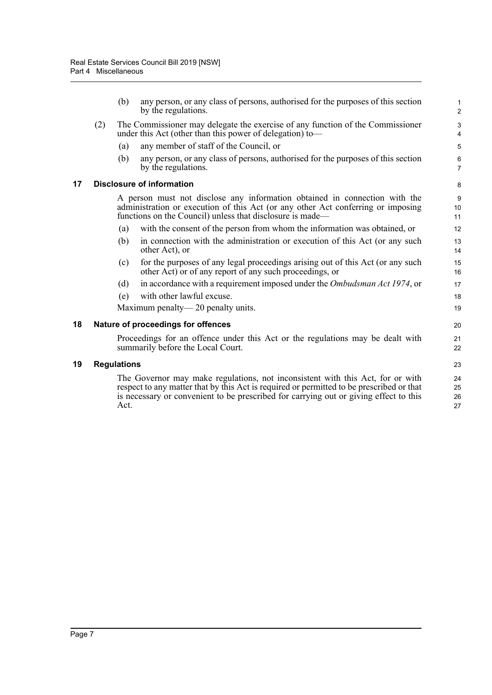(b) any person, or any class of persons, authorised for the purposes of this section by the regulations.

- (2) The Commissioner may delegate the exercise of any function of the Commissioner under this Act (other than this power of delegation) to—
	- (a) any member of staff of the Council, or
	- (b) any person, or any class of persons, authorised for the purposes of this section by the regulations.

#### <span id="page-11-0"></span>**17 Disclosure of information**

A person must not disclose any information obtained in connection with the administration or execution of this Act (or any other Act conferring or imposing functions on the Council) unless that disclosure is made—

- (a) with the consent of the person from whom the information was obtained, or
- (b) in connection with the administration or execution of this Act (or any such other Act), or
- (c) for the purposes of any legal proceedings arising out of this Act (or any such other Act) or of any report of any such proceedings, or
- (d) in accordance with a requirement imposed under the *Ombudsman Act 1974*, or
- (e) with other lawful excuse.

Maximum penalty— 20 penalty units.

#### <span id="page-11-1"></span>**18 Nature of proceedings for offences**

Proceedings for an offence under this Act or the regulations may be dealt with summarily before the Local Court.

#### <span id="page-11-2"></span>**19 Regulations**

The Governor may make regulations, not inconsistent with this Act, for or with respect to any matter that by this Act is required or permitted to be prescribed or that is necessary or convenient to be prescribed for carrying out or giving effect to this Act.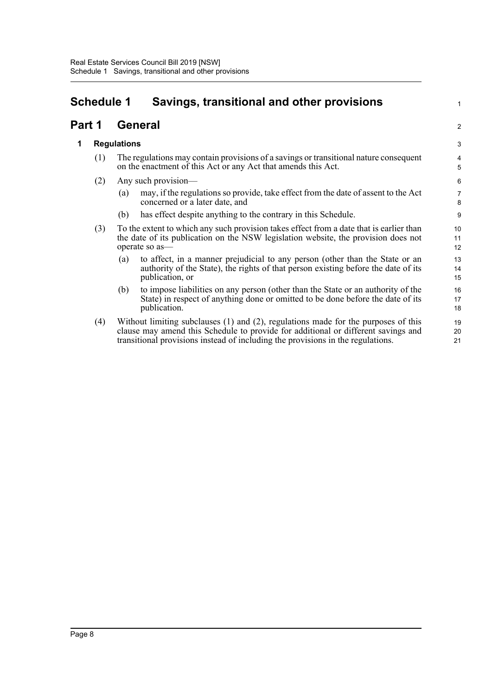# <span id="page-12-0"></span>**Schedule 1 Savings, transitional and other provisions**

## **Part 1 General**

### **1 Regulations**

- (1) The regulations may contain provisions of a savings or transitional nature consequent on the enactment of this Act or any Act that amends this Act.
- (2) Any such provision—
	- (a) may, if the regulations so provide, take effect from the date of assent to the Act concerned or a later date, and

1

2

- (b) has effect despite anything to the contrary in this Schedule.
- (3) To the extent to which any such provision takes effect from a date that is earlier than the date of its publication on the NSW legislation website, the provision does not operate so as—
	- (a) to affect, in a manner prejudicial to any person (other than the State or an authority of the State), the rights of that person existing before the date of its publication, or
	- (b) to impose liabilities on any person (other than the State or an authority of the State) in respect of anything done or omitted to be done before the date of its publication.
- (4) Without limiting subclauses (1) and (2), regulations made for the purposes of this clause may amend this Schedule to provide for additional or different savings and transitional provisions instead of including the provisions in the regulations.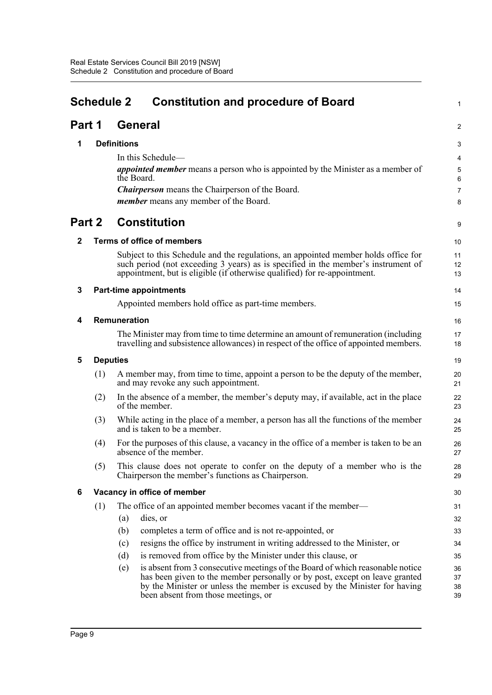<span id="page-13-0"></span>

|             | <b>Schedule 2</b><br><b>Constitution and procedure of Board</b> |                    |                                                                                                                                                                                                                                                                                   | 1                    |
|-------------|-----------------------------------------------------------------|--------------------|-----------------------------------------------------------------------------------------------------------------------------------------------------------------------------------------------------------------------------------------------------------------------------------|----------------------|
| Part 1      |                                                                 |                    | General                                                                                                                                                                                                                                                                           | $\overline{c}$       |
| 1           |                                                                 | <b>Definitions</b> |                                                                                                                                                                                                                                                                                   | 3                    |
|             |                                                                 |                    | In this Schedule-                                                                                                                                                                                                                                                                 | 4                    |
|             |                                                                 |                    | <i>appointed member</i> means a person who is appointed by the Minister as a member of                                                                                                                                                                                            | 5                    |
|             |                                                                 |                    | the Board.                                                                                                                                                                                                                                                                        | 6                    |
|             |                                                                 |                    | <b>Chairperson</b> means the Chairperson of the Board.                                                                                                                                                                                                                            | 7                    |
|             |                                                                 |                    | member means any member of the Board.                                                                                                                                                                                                                                             | 8                    |
| Part 2      |                                                                 |                    | <b>Constitution</b>                                                                                                                                                                                                                                                               | 9                    |
| $\mathbf 2$ |                                                                 |                    | <b>Terms of office of members</b>                                                                                                                                                                                                                                                 | 10                   |
|             |                                                                 |                    | Subject to this Schedule and the regulations, an appointed member holds office for<br>such period (not exceeding 3 years) as is specified in the member's instrument of<br>appointment, but is eligible (if otherwise qualified) for re-appointment.                              | 11<br>12<br>13       |
| 3           |                                                                 |                    | <b>Part-time appointments</b>                                                                                                                                                                                                                                                     | 14                   |
|             |                                                                 |                    | Appointed members hold office as part-time members.                                                                                                                                                                                                                               | 15                   |
| 4           |                                                                 | Remuneration       |                                                                                                                                                                                                                                                                                   | 16                   |
|             |                                                                 |                    | The Minister may from time to time determine an amount of remuneration (including<br>travelling and subsistence allowances) in respect of the office of appointed members.                                                                                                        | 17<br>18             |
| 5           | <b>Deputies</b>                                                 |                    |                                                                                                                                                                                                                                                                                   | 19                   |
|             | (1)                                                             |                    | A member may, from time to time, appoint a person to be the deputy of the member,<br>and may revoke any such appointment.                                                                                                                                                         | 20<br>21             |
|             | (2)                                                             |                    | In the absence of a member, the member's deputy may, if available, act in the place<br>of the member.                                                                                                                                                                             | 22<br>23             |
|             | (3)                                                             |                    | While acting in the place of a member, a person has all the functions of the member<br>and is taken to be a member.                                                                                                                                                               | 24<br>25             |
|             | (4)                                                             |                    | For the purposes of this clause, a vacancy in the office of a member is taken to be an<br>absence of the member.                                                                                                                                                                  | 26<br>27             |
|             | (5)                                                             |                    | This clause does not operate to confer on the deputy of a member who is the<br>Chairperson the member's functions as Chairperson.                                                                                                                                                 | 28<br>29             |
| 6           |                                                                 |                    | Vacancy in office of member                                                                                                                                                                                                                                                       | 30                   |
|             | (1)                                                             |                    | The office of an appointed member becomes vacant if the member—                                                                                                                                                                                                                   | 31                   |
|             |                                                                 | (a)                | dies, or                                                                                                                                                                                                                                                                          | 32                   |
|             |                                                                 | (b)                | completes a term of office and is not re-appointed, or                                                                                                                                                                                                                            | 33                   |
|             |                                                                 | (c)                | resigns the office by instrument in writing addressed to the Minister, or                                                                                                                                                                                                         | 34                   |
|             |                                                                 | (d)                | is removed from office by the Minister under this clause, or                                                                                                                                                                                                                      | 35                   |
|             |                                                                 | (e)                | is absent from 3 consecutive meetings of the Board of which reasonable notice<br>has been given to the member personally or by post, except on leave granted<br>by the Minister or unless the member is excused by the Minister for having<br>been absent from those meetings, or | 36<br>37<br>38<br>39 |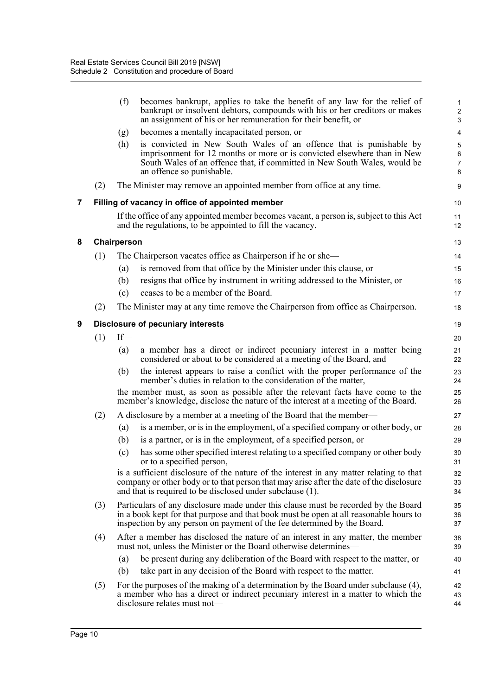|   |     | (f)         | becomes bankrupt, applies to take the benefit of any law for the relief of<br>bankrupt or insolvent debtors, compounds with his or her creditors or makes<br>an assignment of his or her remuneration for their benefit, or                               | $\mathbf{1}$<br>$\overline{\mathbf{c}}$<br>3 |
|---|-----|-------------|-----------------------------------------------------------------------------------------------------------------------------------------------------------------------------------------------------------------------------------------------------------|----------------------------------------------|
|   |     | (g)         | becomes a mentally incapacitated person, or                                                                                                                                                                                                               | 4                                            |
|   |     | (h)         | is convicted in New South Wales of an offence that is punishable by<br>imprisonment for 12 months or more or is convicted elsewhere than in New<br>South Wales of an offence that, if committed in New South Wales, would be<br>an offence so punishable. | 5<br>$6\phantom{a}$<br>$\overline{7}$<br>8   |
|   | (2) |             | The Minister may remove an appointed member from office at any time.                                                                                                                                                                                      | 9                                            |
| 7 |     |             | Filling of vacancy in office of appointed member                                                                                                                                                                                                          | 10                                           |
|   |     |             | If the office of any appointed member becomes vacant, a person is, subject to this Act<br>and the regulations, to be appointed to fill the vacancy.                                                                                                       | 11<br>12                                     |
| 8 |     | Chairperson |                                                                                                                                                                                                                                                           | 13                                           |
|   | (1) |             | The Chairperson vacates office as Chairperson if he or she—                                                                                                                                                                                               | 14                                           |
|   |     | (a)         | is removed from that office by the Minister under this clause, or                                                                                                                                                                                         | 15                                           |
|   |     | (b)         | resigns that office by instrument in writing addressed to the Minister, or                                                                                                                                                                                | 16                                           |
|   |     | (c)         | ceases to be a member of the Board.                                                                                                                                                                                                                       | 17                                           |
|   | (2) |             | The Minister may at any time remove the Chairperson from office as Chairperson.                                                                                                                                                                           | 18                                           |
| 9 |     |             | <b>Disclosure of pecuniary interests</b>                                                                                                                                                                                                                  | 19                                           |
|   | (1) | $If$ —      |                                                                                                                                                                                                                                                           | 20                                           |
|   |     | (a)         | a member has a direct or indirect pecuniary interest in a matter being<br>considered or about to be considered at a meeting of the Board, and                                                                                                             | 21<br>22                                     |
|   |     | (b)         | the interest appears to raise a conflict with the proper performance of the<br>member's duties in relation to the consideration of the matter,                                                                                                            | 23<br>24                                     |
|   |     |             | the member must, as soon as possible after the relevant facts have come to the<br>member's knowledge, disclose the nature of the interest at a meeting of the Board.                                                                                      | 25<br>26                                     |
|   | (2) |             | A disclosure by a member at a meeting of the Board that the member—                                                                                                                                                                                       | 27                                           |
|   |     | (a)         | is a member, or is in the employment, of a specified company or other body, or                                                                                                                                                                            | 28                                           |
|   |     | (b)         | is a partner, or is in the employment, of a specified person, or                                                                                                                                                                                          | 29                                           |
|   |     | (c)         | has some other specified interest relating to a specified company or other body<br>or to a specified person,                                                                                                                                              | 30<br>31                                     |
|   |     |             | is a sufficient disclosure of the nature of the interest in any matter relating to that<br>company or other body or to that person that may arise after the date of the disclosure<br>and that is required to be disclosed under subclause (1).           | 32<br>33<br>34                               |
|   | (3) |             | Particulars of any disclosure made under this clause must be recorded by the Board<br>in a book kept for that purpose and that book must be open at all reasonable hours to<br>inspection by any person on payment of the fee determined by the Board.    | 35<br>36<br>37                               |
|   | (4) |             | After a member has disclosed the nature of an interest in any matter, the member<br>must not, unless the Minister or the Board otherwise determines—                                                                                                      | 38<br>39                                     |
|   |     | (a)         | be present during any deliberation of the Board with respect to the matter, or                                                                                                                                                                            | 40                                           |
|   |     | (b)         | take part in any decision of the Board with respect to the matter.                                                                                                                                                                                        | 41                                           |
|   | (5) |             | For the purposes of the making of a determination by the Board under subclause (4),<br>a member who has a direct or indirect pecuniary interest in a matter to which the<br>disclosure relates must not-                                                  | 42<br>43<br>44                               |

**8 Chairperson**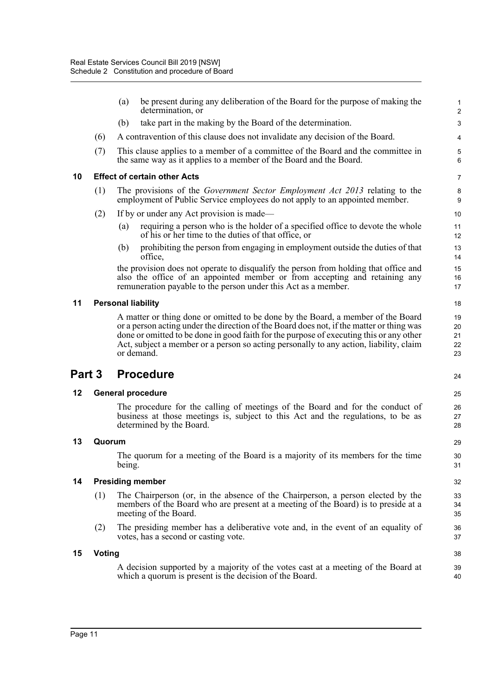|        |               | (a)    | be present during any deliberation of the Board for the purpose of making the<br>determination, or                                                                                                                                                                                                                                                                              | $\mathbf{1}$<br>$\overline{2}$ |
|--------|---------------|--------|---------------------------------------------------------------------------------------------------------------------------------------------------------------------------------------------------------------------------------------------------------------------------------------------------------------------------------------------------------------------------------|--------------------------------|
|        |               | (b)    | take part in the making by the Board of the determination.                                                                                                                                                                                                                                                                                                                      | $\mathsf 3$                    |
|        | (6)           |        | A contravention of this clause does not invalidate any decision of the Board.                                                                                                                                                                                                                                                                                                   | 4                              |
|        | (7)           |        | This clause applies to a member of a committee of the Board and the committee in<br>the same way as it applies to a member of the Board and the Board.                                                                                                                                                                                                                          | 5<br>6                         |
| 10     |               |        | <b>Effect of certain other Acts</b>                                                                                                                                                                                                                                                                                                                                             | $\overline{7}$                 |
|        | (1)           |        | The provisions of the <i>Government Sector Employment Act 2013</i> relating to the<br>employment of Public Service employees do not apply to an appointed member.                                                                                                                                                                                                               | 8<br>9                         |
|        | (2)           |        | If by or under any Act provision is made—                                                                                                                                                                                                                                                                                                                                       | 10                             |
|        |               | (a)    | requiring a person who is the holder of a specified office to devote the whole<br>of his or her time to the duties of that office, or                                                                                                                                                                                                                                           | 11<br>12                       |
|        |               | (b)    | prohibiting the person from engaging in employment outside the duties of that<br>office,                                                                                                                                                                                                                                                                                        | 13<br>14                       |
|        |               |        | the provision does not operate to disqualify the person from holding that office and<br>also the office of an appointed member or from accepting and retaining any<br>remuneration payable to the person under this Act as a member.                                                                                                                                            | 15<br>16<br>17                 |
| 11     |               |        | <b>Personal liability</b>                                                                                                                                                                                                                                                                                                                                                       | 18                             |
|        |               |        | A matter or thing done or omitted to be done by the Board, a member of the Board<br>or a person acting under the direction of the Board does not, if the matter or thing was<br>done or omitted to be done in good faith for the purpose of executing this or any other<br>Act, subject a member or a person so acting personally to any action, liability, claim<br>or demand. | 19<br>20<br>21<br>22<br>23     |
|        |               |        | <b>Procedure</b>                                                                                                                                                                                                                                                                                                                                                                |                                |
| Part 3 |               |        |                                                                                                                                                                                                                                                                                                                                                                                 | 24                             |
| 12     |               |        | <b>General procedure</b>                                                                                                                                                                                                                                                                                                                                                        | 25                             |
|        |               |        | The procedure for the calling of meetings of the Board and for the conduct of<br>business at those meetings is, subject to this Act and the regulations, to be as<br>determined by the Board.                                                                                                                                                                                   | 26<br>27<br>28                 |
| 13     | Quorum        |        |                                                                                                                                                                                                                                                                                                                                                                                 | 29                             |
|        |               | being. | The quorum for a meeting of the Board is a majority of its members for the time                                                                                                                                                                                                                                                                                                 | 30<br>31                       |
| 14     |               |        | <b>Presiding member</b>                                                                                                                                                                                                                                                                                                                                                         | 32                             |
|        | (1)           |        | The Chairperson (or, in the absence of the Chairperson, a person elected by the<br>members of the Board who are present at a meeting of the Board) is to preside at a<br>meeting of the Board.                                                                                                                                                                                  | 33<br>34<br>35                 |
|        | (2)           |        | The presiding member has a deliberative vote and, in the event of an equality of<br>votes, has a second or casting vote.                                                                                                                                                                                                                                                        | 36<br>37                       |
| 15     | <b>Voting</b> |        |                                                                                                                                                                                                                                                                                                                                                                                 | 38                             |
|        |               |        | A decision supported by a majority of the votes cast at a meeting of the Board at<br>which a quorum is present is the decision of the Board.                                                                                                                                                                                                                                    | 39<br>40                       |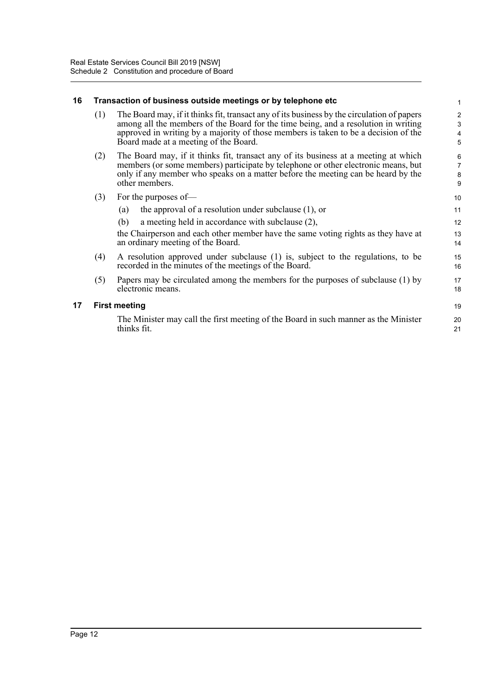#### **16 Transaction of business outside meetings or by telephone etc**

| (1) | The Board may, if it thinks fit, transact any of its business by the circulation of papers |
|-----|--------------------------------------------------------------------------------------------|
|     | among all the members of the Board for the time being, and a resolution in writing         |
|     | approved in writing by a majority of those members is taken to be a decision of the        |
|     | Board made at a meeting of the Board.                                                      |

- (2) The Board may, if it thinks fit, transact any of its business at a meeting at which members (or some members) participate by telephone or other electronic means, but only if any member who speaks on a matter before the meeting can be heard by the other members.
- (3) For the purposes of—

| the approval of a resolution under subclause (1), or                              |    |
|-----------------------------------------------------------------------------------|----|
| (b) a meeting held in accordance with subclause $(2)$ ,                           | 12 |
| the Chairperson and each other member have the same voting rights as they have at | 13 |

er have the same voting rights as they have at an ordinary meeting of the Board.

- (4) A resolution approved under subclause (1) is, subject to the regulations, to be recorded in the minutes of the meetings of the Board.
- (5) Papers may be circulated among the members for the purposes of subclause (1) by electronic means.

### **17 First meeting**

The Minister may call the first meeting of the Board in such manner as the Minister thinks fit.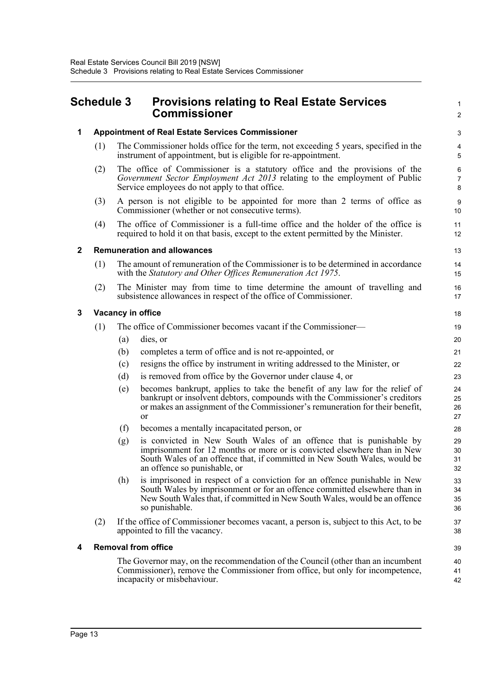## <span id="page-17-0"></span>**Schedule 3 Provisions relating to Real Estate Services Commissioner**

|   |                                                         |                                                                                                                                                 | <b>Commissioner</b>                                                                                                                                                                                                                                          | $\boldsymbol{2}$         |  |  |  |
|---|---------------------------------------------------------|-------------------------------------------------------------------------------------------------------------------------------------------------|--------------------------------------------------------------------------------------------------------------------------------------------------------------------------------------------------------------------------------------------------------------|--------------------------|--|--|--|
| 1 | <b>Appointment of Real Estate Services Commissioner</b> |                                                                                                                                                 |                                                                                                                                                                                                                                                              |                          |  |  |  |
|   | (1)                                                     |                                                                                                                                                 | The Commissioner holds office for the term, not exceeding 5 years, specified in the<br>instrument of appointment, but is eligible for re-appointment.                                                                                                        | 4<br>5                   |  |  |  |
|   | (2)                                                     |                                                                                                                                                 | The office of Commissioner is a statutory office and the provisions of the<br>Government Sector Employment Act 2013 relating to the employment of Public<br>Service employees do not apply to that office.                                                   | 6<br>$\overline{7}$<br>8 |  |  |  |
|   | (3)                                                     |                                                                                                                                                 | A person is not eligible to be appointed for more than 2 terms of office as<br>Commissioner (whether or not consecutive terms).                                                                                                                              | $\boldsymbol{9}$<br>10   |  |  |  |
|   | (4)                                                     |                                                                                                                                                 | The office of Commissioner is a full-time office and the holder of the office is<br>required to hold it on that basis, except to the extent permitted by the Minister.                                                                                       | 11<br>12                 |  |  |  |
| 2 | <b>Remuneration and allowances</b>                      |                                                                                                                                                 |                                                                                                                                                                                                                                                              |                          |  |  |  |
|   | (1)                                                     | The amount of remuneration of the Commissioner is to be determined in accordance<br>with the Statutory and Other Offices Remuneration Act 1975. |                                                                                                                                                                                                                                                              |                          |  |  |  |
|   | (2)                                                     |                                                                                                                                                 | The Minister may from time to time determine the amount of travelling and<br>subsistence allowances in respect of the office of Commissioner.                                                                                                                | 16<br>17                 |  |  |  |
| 3 | Vacancy in office                                       |                                                                                                                                                 |                                                                                                                                                                                                                                                              |                          |  |  |  |
|   | (1)                                                     |                                                                                                                                                 | The office of Commissioner becomes vacant if the Commissioner—                                                                                                                                                                                               | 19                       |  |  |  |
|   |                                                         | (a)                                                                                                                                             | dies, or                                                                                                                                                                                                                                                     | 20                       |  |  |  |
|   |                                                         | (b)                                                                                                                                             | completes a term of office and is not re-appointed, or                                                                                                                                                                                                       | 21                       |  |  |  |
|   |                                                         | (c)                                                                                                                                             | resigns the office by instrument in writing addressed to the Minister, or                                                                                                                                                                                    | 22                       |  |  |  |
|   |                                                         | (d)                                                                                                                                             | is removed from office by the Governor under clause 4, or                                                                                                                                                                                                    | 23                       |  |  |  |
|   |                                                         | (e)                                                                                                                                             | becomes bankrupt, applies to take the benefit of any law for the relief of<br>bankrupt or insolvent debtors, compounds with the Commissioner's creditors<br>or makes an assignment of the Commissioner's remuneration for their benefit,<br><b>or</b>        | 24<br>25<br>26<br>27     |  |  |  |
|   |                                                         | (f)                                                                                                                                             | becomes a mentally incapacitated person, or                                                                                                                                                                                                                  | 28                       |  |  |  |
|   |                                                         | (g)                                                                                                                                             | is convicted in New South Wales of an offence that is punishable by<br>imprisonment for 12 months or more or is convicted elsewhere than in New<br>South Wales of an offence that, if committed in New South Wales, would be<br>an offence so punishable, or | 29<br>30<br>31<br>32     |  |  |  |
|   |                                                         | (h)                                                                                                                                             | is imprisoned in respect of a conviction for an offence punishable in New<br>South Wales by imprisonment or for an offence committed elsewhere than in<br>New South Wales that, if committed in New South Wales, would be an offence<br>so punishable.       | 33<br>34<br>35<br>36     |  |  |  |
|   | (2)                                                     |                                                                                                                                                 | If the office of Commissioner becomes vacant, a person is, subject to this Act, to be<br>appointed to fill the vacancy.                                                                                                                                      | 37<br>38                 |  |  |  |
| 4 | <b>Removal from office</b>                              |                                                                                                                                                 |                                                                                                                                                                                                                                                              |                          |  |  |  |
|   |                                                         |                                                                                                                                                 | The Governor may, on the recommendation of the Council (other than an incumbent<br>Commissioner), remove the Commissioner from office, but only for incompetence,<br>incapacity or misbehaviour.                                                             | 40<br>41<br>42           |  |  |  |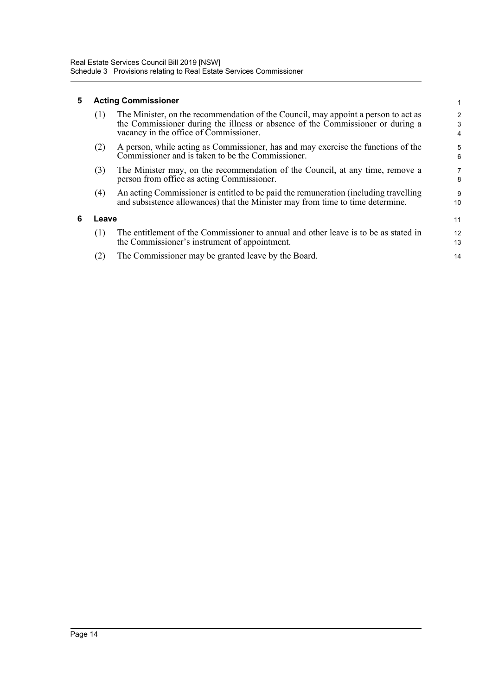### **5 Acting Commissioner**

**6 Leave**

| (1)   | The Minister, on the recommendation of the Council, may appoint a person to act as<br>the Commissioner during the illness or absence of the Commissioner or during a<br>vacancy in the office of Commissioner. | 2<br>3<br>4 |  |  |
|-------|----------------------------------------------------------------------------------------------------------------------------------------------------------------------------------------------------------------|-------------|--|--|
| (2)   | A person, while acting as Commissioner, has and may exercise the functions of the<br>Commissioner and is taken to be the Commissioner.                                                                         | 5<br>6      |  |  |
| (3)   | The Minister may, on the recommendation of the Council, at any time, remove a<br>person from office as acting Commissioner.                                                                                    | 7<br>8      |  |  |
| (4)   | An acting Commissioner is entitled to be paid the remuneration (including travelling<br>and subsistence allowances) that the Minister may from time to time determine.                                         | 9<br>10     |  |  |
| Leave |                                                                                                                                                                                                                |             |  |  |
| (1)   | The entitlement of the Commissioner to annual and other leave is to be as stated in<br>the Commissioner's instrument of appointment.                                                                           | 12<br>13    |  |  |
| (2)   | The Commissioner may be granted leave by the Board.                                                                                                                                                            | 14          |  |  |